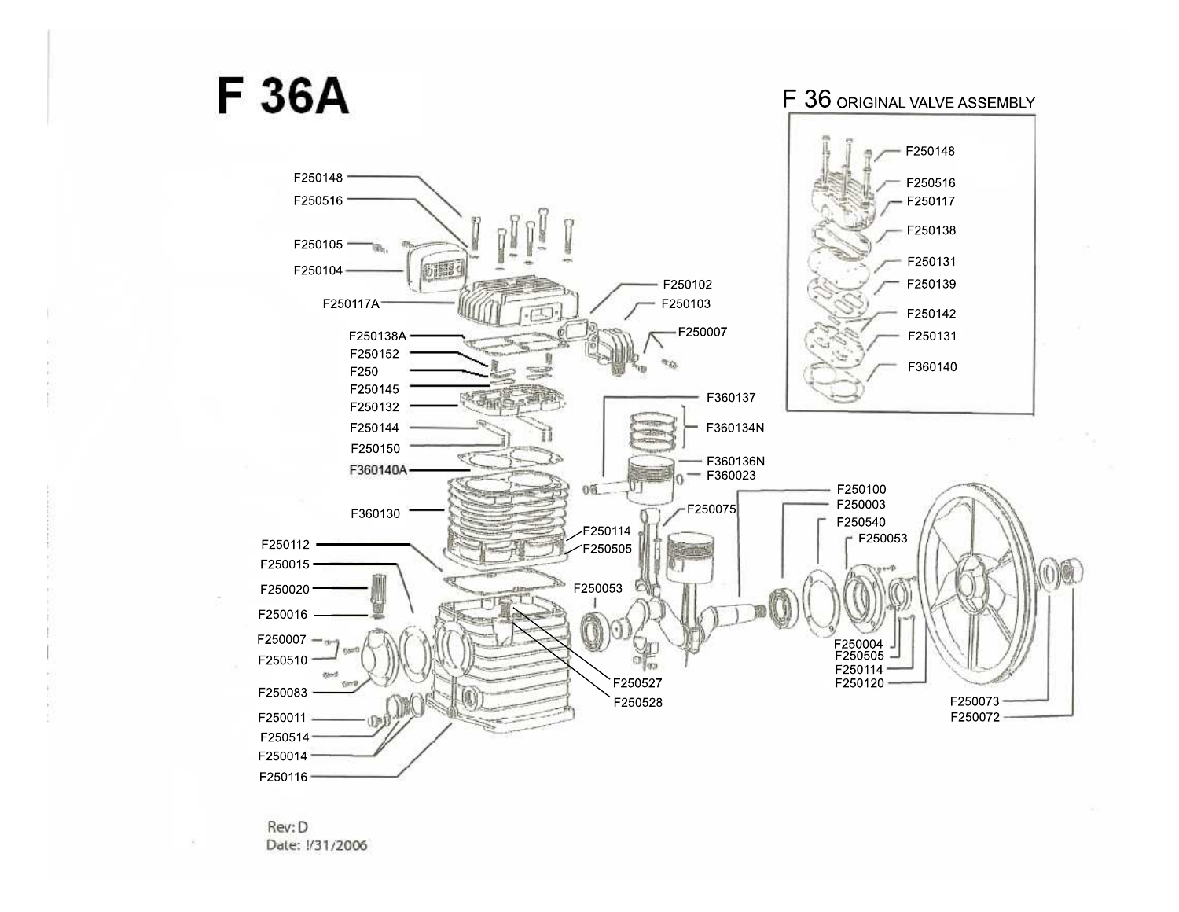

Rev: D Date: 1/31/2006